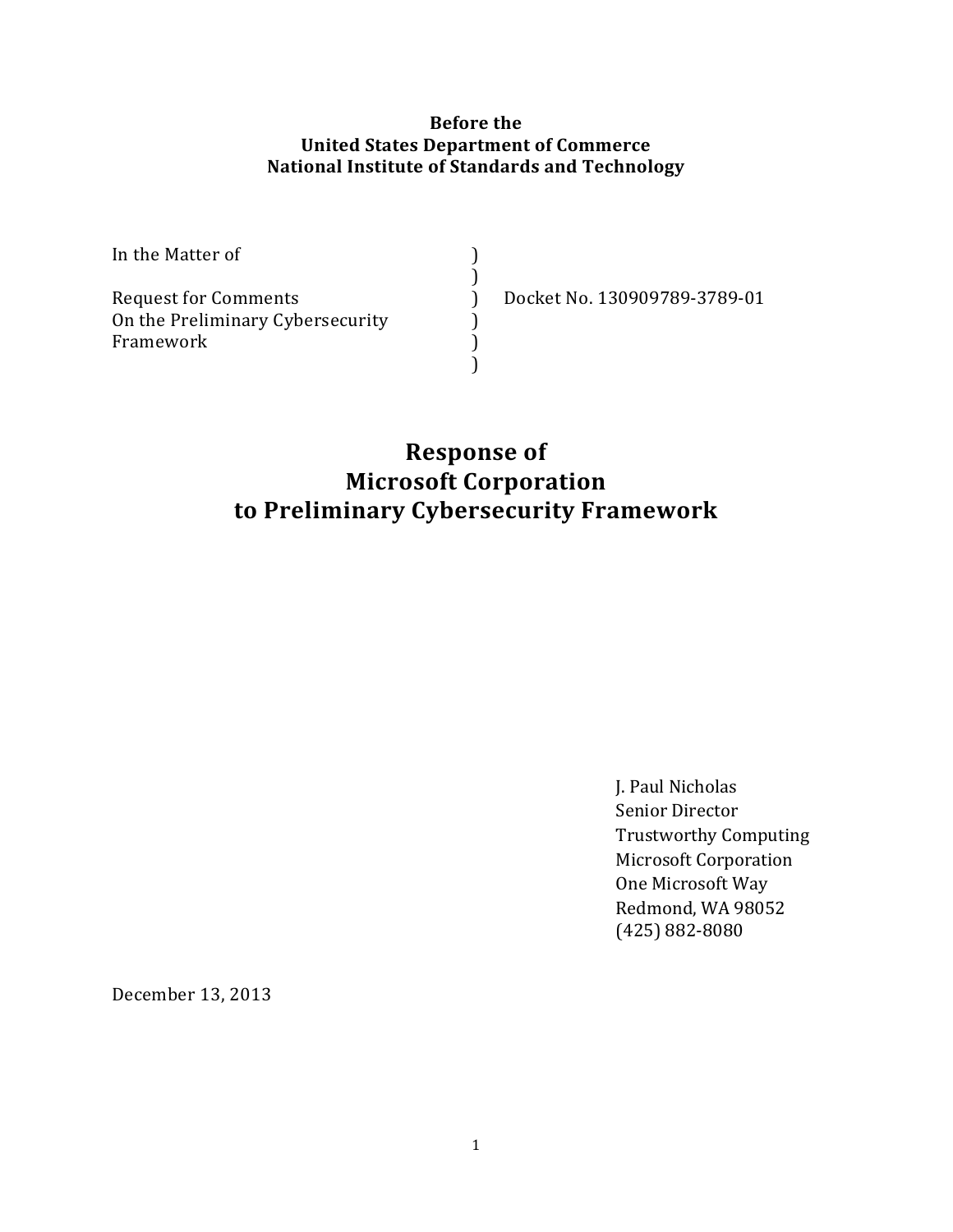#### **Before the United States Department of Commerce National Institute of Standards and Technology**

| In the Matter of                 |                              |
|----------------------------------|------------------------------|
| <b>Request for Comments</b>      | Docket No. 130909789-3789-01 |
| On the Preliminary Cybersecurity |                              |
| Framework                        |                              |
|                                  |                              |

# **Response of Microsoft Corporation to Preliminary Cybersecurity Framework**

J. Paul Nicholas Senior Director Trustworthy Computing Microsoft Corporation One Microsoft Way Redmond, WA 98052 (425) 882-8080 

December 13, 2013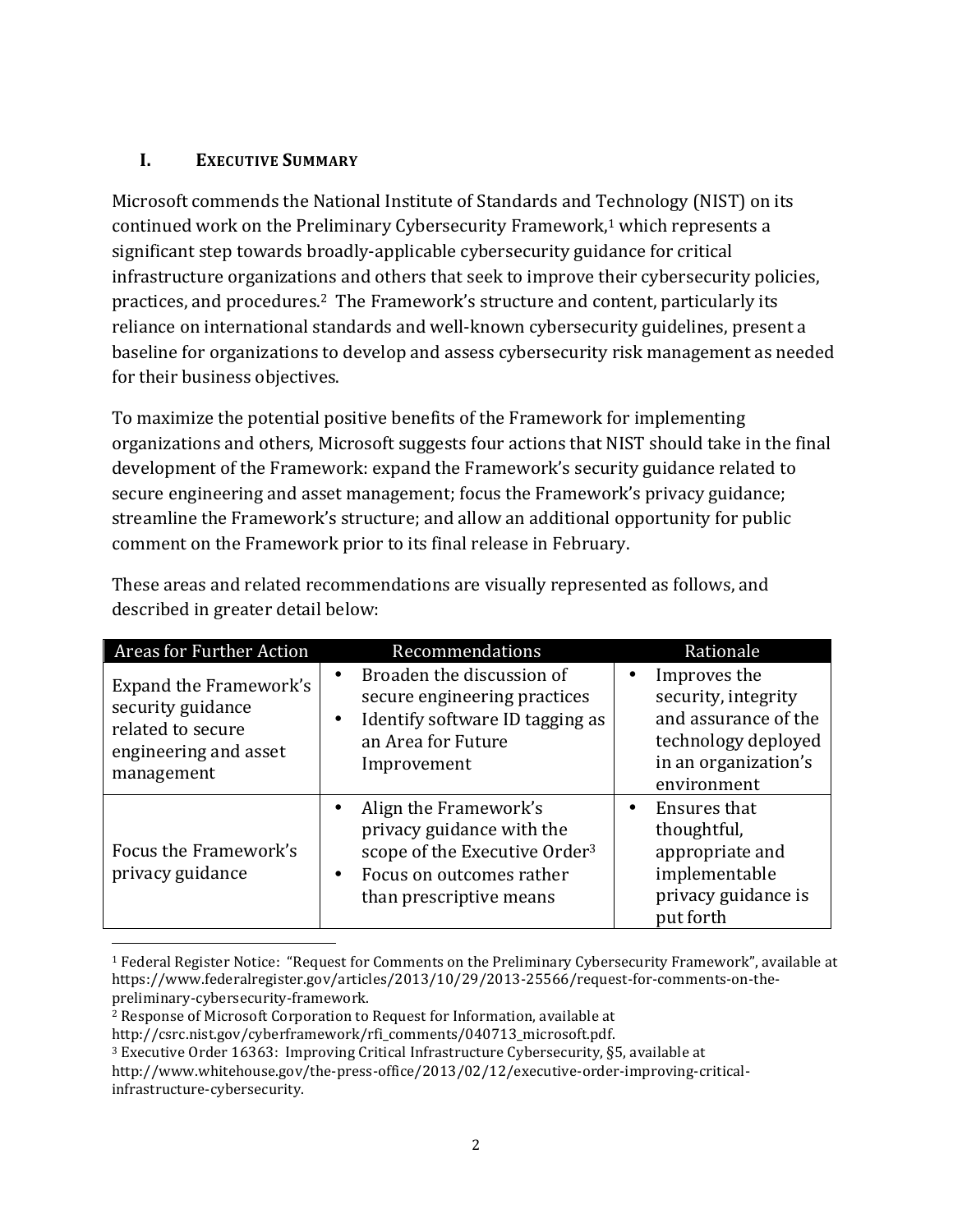#### **I. EXECUTIVE SUMMARY**

Microsoft commends the National Institute of Standards and Technology (NIST) on its continued work on the Preliminary Cybersecurity Framework,<sup>1</sup> which represents a significant step towards broadly-applicable cybersecurity guidance for critical infrastructure organizations and others that seek to improve their cybersecurity policies, practices, and procedures.<sup>2</sup> The Framework's structure and content, particularly its reliance on international standards and well-known cybersecurity guidelines, present a baseline for organizations to develop and assess cybersecurity risk management as needed for their business objectives.

To maximize the potential positive benefits of the Framework for implementing organizations and others, Microsoft suggests four actions that NIST should take in the final development of the Framework: expand the Framework's security guidance related to secure engineering and asset management; focus the Framework's privacy guidance; streamline the Framework's structure; and allow an additional opportunity for public comment on the Framework prior to its final release in February.

| Areas for Further Action                                                                                | Recommendations                                                                                                                                        | Rationale                                                                                                                 |
|---------------------------------------------------------------------------------------------------------|--------------------------------------------------------------------------------------------------------------------------------------------------------|---------------------------------------------------------------------------------------------------------------------------|
| Expand the Framework's<br>security guidance<br>related to secure<br>engineering and asset<br>management | Broaden the discussion of<br>secure engineering practices<br>Identify software ID tagging as<br>an Area for Future<br>Improvement                      | Improves the<br>security, integrity<br>and assurance of the<br>technology deployed<br>in an organization's<br>environment |
| Focus the Framework's<br>privacy guidance                                                               | Align the Framework's<br>privacy guidance with the<br>scope of the Executive Order <sup>3</sup><br>Focus on outcomes rather<br>than prescriptive means | Ensures that<br>٠<br>thoughtful,<br>appropriate and<br>implementable<br>privacy guidance is<br>put forth                  |

These areas and related recommendations are visually represented as follows, and described in greater detail below:

<sup>&</sup>lt;sup>1</sup> Federal Register Notice: "Request for Comments on the Preliminary Cybersecurity Framework", available at https://www.federalregister.gov/articles/2013/10/29/2013-25566/request-for-comments-on-thepreliminary-cybersecurity-framework.

<sup>2</sup> Response of Microsoft Corporation to Request for Information, available at

http://csrc.nist.gov/cyberframework/rfi\_comments/040713\_microsoft.pdf.

<sup>3</sup> Executive Order 16363: Improving Critical Infrastructure Cybersecurity, §5, available at

http://www.whitehouse.gov/the-press-office/2013/02/12/executive-order-improving-criticalinfrastructure-cybersecurity.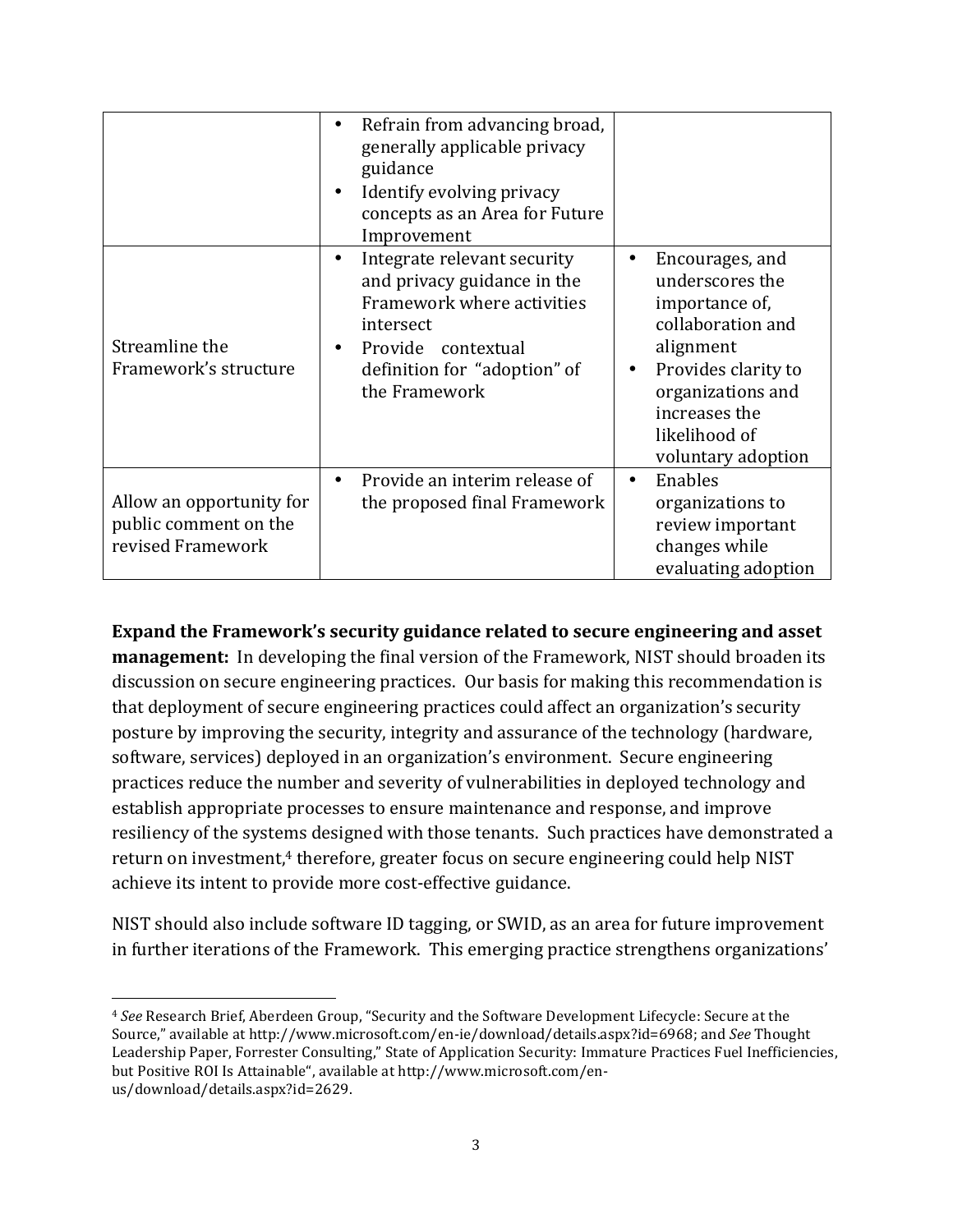|                                                                        | Refrain from advancing broad,<br>generally applicable privacy<br>guidance<br>Identify evolving privacy<br>concepts as an Area for Future<br>Improvement                                   |                                                                                                                                                                                                              |
|------------------------------------------------------------------------|-------------------------------------------------------------------------------------------------------------------------------------------------------------------------------------------|--------------------------------------------------------------------------------------------------------------------------------------------------------------------------------------------------------------|
| Streamline the<br>Framework's structure                                | Integrate relevant security<br>$\bullet$<br>and privacy guidance in the<br>Framework where activities<br>intersect<br>Provide contextual<br>definition for "adoption" of<br>the Framework | Encourages, and<br>٠<br>underscores the<br>importance of,<br>collaboration and<br>alignment<br>Provides clarity to<br>$\bullet$<br>organizations and<br>increases the<br>likelihood of<br>voluntary adoption |
| Allow an opportunity for<br>public comment on the<br>revised Framework | Provide an interim release of<br>the proposed final Framework                                                                                                                             | Enables<br>$\bullet$<br>organizations to<br>review important<br>changes while<br>evaluating adoption                                                                                                         |

**Expand the Framework's security guidance related to secure engineering and asset management:** In developing the final version of the Framework, NIST should broaden its discussion on secure engineering practices. Our basis for making this recommendation is that deployment of secure engineering practices could affect an organization's security posture by improving the security, integrity and assurance of the technology (hardware, software, services) deployed in an organization's environment. Secure engineering practices reduce the number and severity of vulnerabilities in deployed technology and establish appropriate processes to ensure maintenance and response, and improve resiliency of the systems designed with those tenants. Such practices have demonstrated a return on investment,<sup>4</sup> therefore, greater focus on secure engineering could help NIST achieve its intent to provide more cost-effective guidance.

NIST should also include software ID tagging, or SWID, as an area for future improvement in further iterations of the Framework. This emerging practice strengthens organizations'

<sup>&</sup>lt;sup>4</sup> See Research Brief, Aberdeen Group, "Security and the Software Development Lifecycle: Secure at the Source," available at http://www.microsoft.com/en-ie/download/details.aspx?id=6968; and *See* Thought Leadership Paper, Forrester Consulting," State of Application Security: Immature Practices Fuel Inefficiencies, but Positive ROI Is Attainable", available at http://www.microsoft.com/enus/download/details.aspx?id=2629.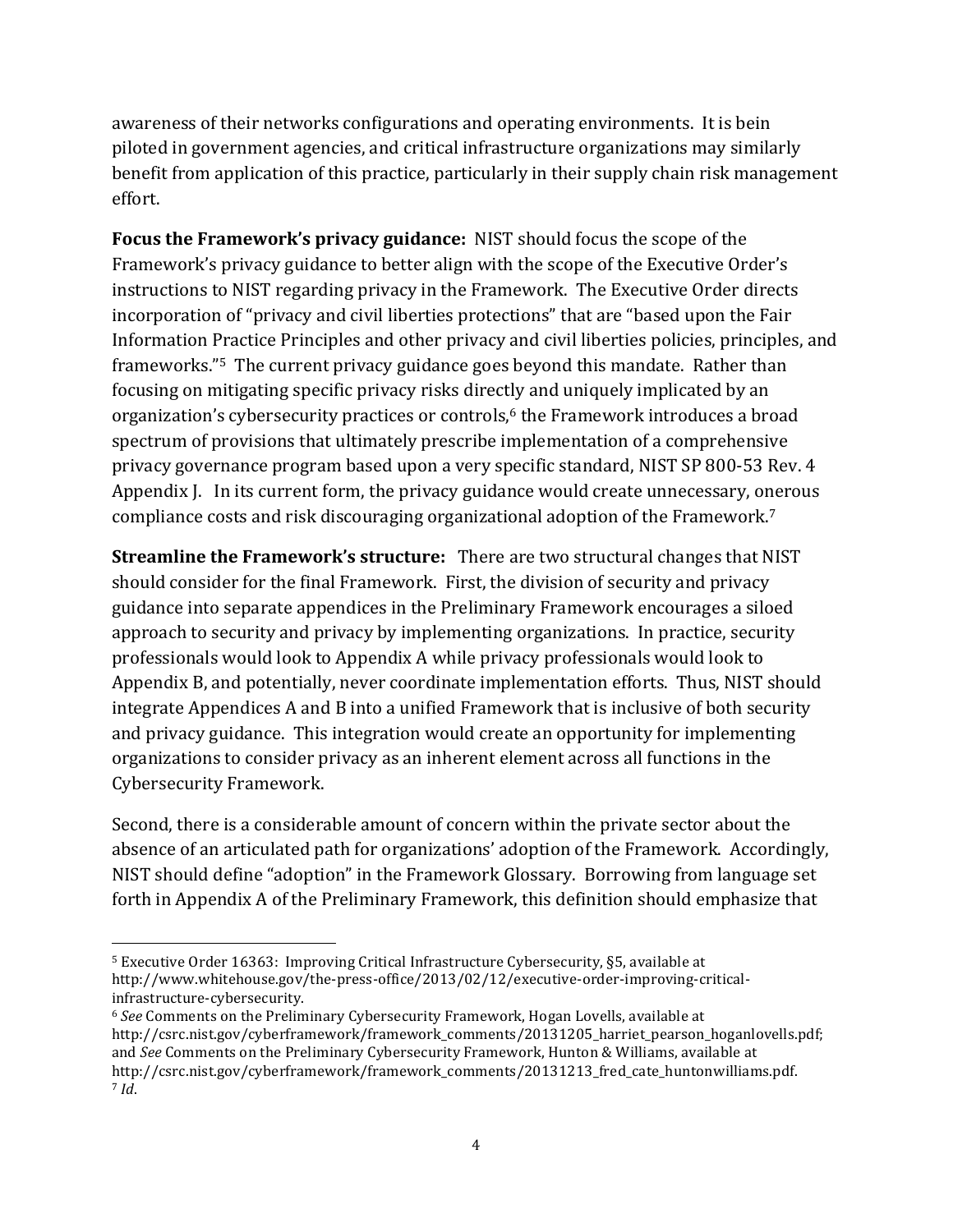awareness of their networks configurations and operating environments. It is bein piloted in government agencies, and critical infrastructure organizations may similarly benefit from application of this practice, particularly in their supply chain risk management effort.

**Focus the Framework's privacy guidance:** NIST should focus the scope of the Framework's privacy guidance to better align with the scope of the Executive Order's instructions to NIST regarding privacy in the Framework. The Executive Order directs incorporation of "privacy and civil liberties protections" that are "based upon the Fair Information Practice Principles and other privacy and civil liberties policies, principles, and frameworks."<sup>5</sup> The current privacy guidance goes beyond this mandate. Rather than focusing on mitigating specific privacy risks directly and uniquely implicated by an organization's cybersecurity practices or controls,<sup>6</sup> the Framework introduces a broad spectrum of provisions that ultimately prescribe implementation of a comprehensive privacy governance program based upon a very specific standard, NIST SP 800-53 Rev. 4 Appendix J. In its current form, the privacy guidance would create unnecessary, onerous compliance costs and risk discouraging organizational adoption of the Framework.<sup>7</sup>

**Streamline the Framework's structure:** There are two structural changes that NIST should consider for the final Framework. First, the division of security and privacy guidance into separate appendices in the Preliminary Framework encourages a siloed approach to security and privacy by implementing organizations. In practice, security professionals would look to Appendix A while privacy professionals would look to Appendix B, and potentially, never coordinate implementation efforts. Thus, NIST should integrate Appendices A and B into a unified Framework that is inclusive of both security and privacy guidance. This integration would create an opportunity for implementing organizations to consider privacy as an inherent element across all functions in the Cybersecurity Framework.

Second, there is a considerable amount of concern within the private sector about the absence of an articulated path for organizations' adoption of the Framework. Accordingly, NIST should define "adoption" in the Framework Glossary. Borrowing from language set forth in Appendix A of the Preliminary Framework, this definition should emphasize that

<sup>5</sup> Executive Order 16363: Improving Critical Infrastructure Cybersecurity, §5, available at http://www.whitehouse.gov/the-press-office/2013/02/12/executive-order-improving-criticalinfrastructure-cybersecurity.

<sup>6</sup> *See* Comments on the Preliminary Cybersecurity Framework, Hogan Lovells, available at http://csrc.nist.gov/cyberframework/framework\_comments/20131205\_harriet\_pearson\_hoganlovells.pdf; and *See* Comments on the Preliminary Cybersecurity Framework, Hunton & Williams, available at http://csrc.nist.gov/cyberframework/framework\_comments/20131213\_fred\_cate\_huntonwilliams.pdf. <sup>7</sup> *Id*.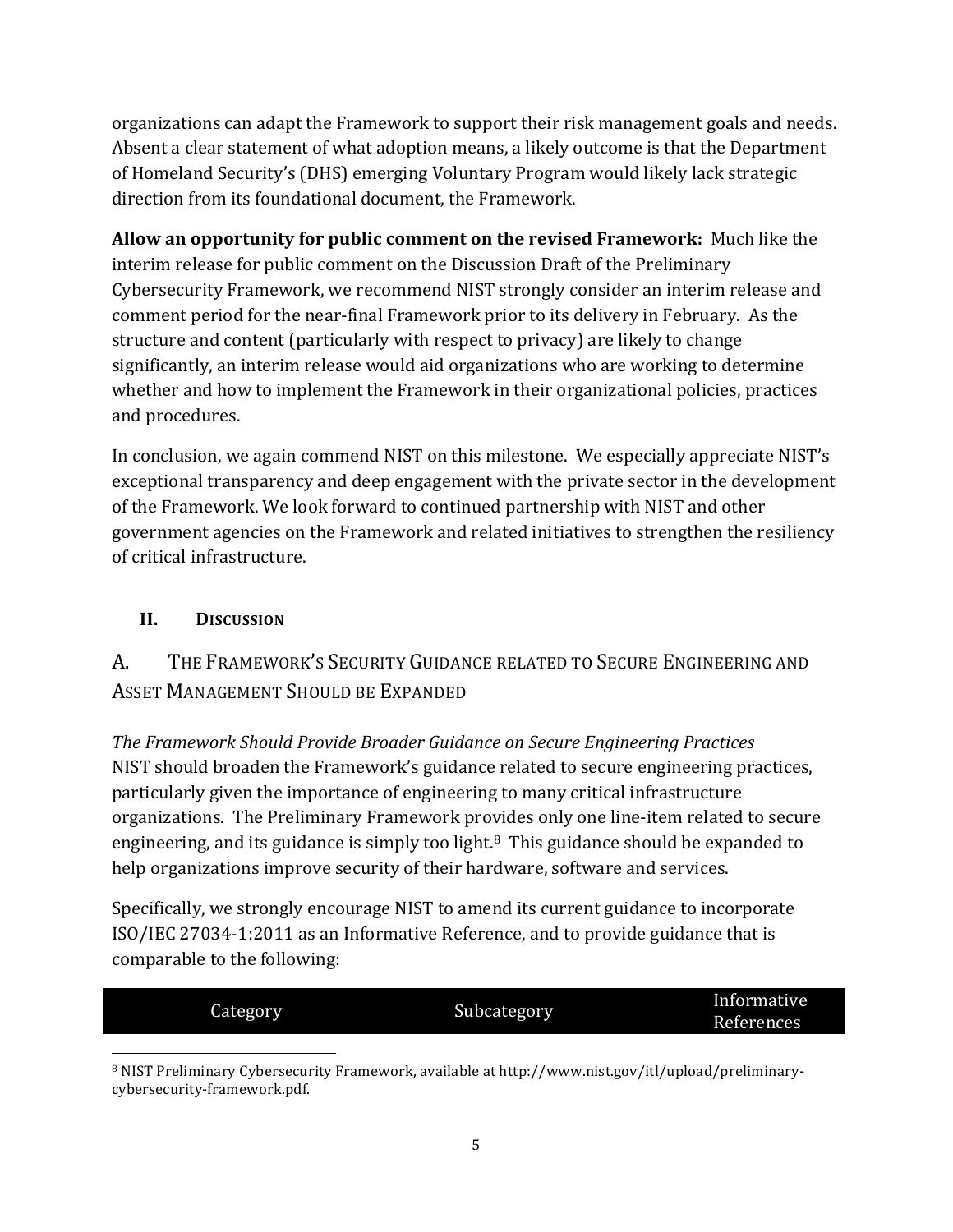organizations can adapt the Framework to support their risk management goals and needs. Absent a clear statement of what adoption means, a likely outcome is that the Department of Homeland Security's (DHS) emerging Voluntary Program would likely lack strategic direction from its foundational document, the Framework.

**Allow an opportunity for public comment on the revised Framework:** Much like the interim release for public comment on the Discussion Draft of the Preliminary Cybersecurity Framework, we recommend NIST strongly consider an interim release and comment period for the near-final Framework prior to its delivery in February. As the structure and content (particularly with respect to privacy) are likely to change significantly, an interim release would aid organizations who are working to determine whether and how to implement the Framework in their organizational policies, practices and procedures.

In conclusion, we again commend NIST on this milestone. We especially appreciate NIST's exceptional transparency and deep engagement with the private sector in the development of the Framework. We look forward to continued partnership with NIST and other government agencies on the Framework and related initiatives to strengthen the resiliency of critical infrastructure.

## **II. DISCUSSION**

## A. THE FRAMEWORK'S SECURITY GUIDANCE RELATED TO SECURE ENGINEERING AND ASSET MANAGEMENT SHOULD BE EXPANDED

*The Framework Should Provide Broader Guidance on Secure Engineering Practices* NIST should broaden the Framework's guidance related to secure engineering practices, particularly given the importance of engineering to many critical infrastructure organizations. The Preliminary Framework provides only one line-item related to secure engineering, and its guidance is simply too light. $8$  This guidance should be expanded to help organizations improve security of their hardware, software and services.

Specifically, we strongly encourage NIST to amend its current guidance to incorporate ISO/IEC 27034-1:2011 as an Informative Reference, and to provide guidance that is comparable to the following:

| J<br>Category | Subcategory | Informative       |
|---------------|-------------|-------------------|
|               |             | <b>References</b> |
|               |             |                   |

<sup>8</sup> NIST Preliminary Cybersecurity Framework, available at http://www.nist.gov/itl/upload/preliminarycybersecurity-framework.pdf.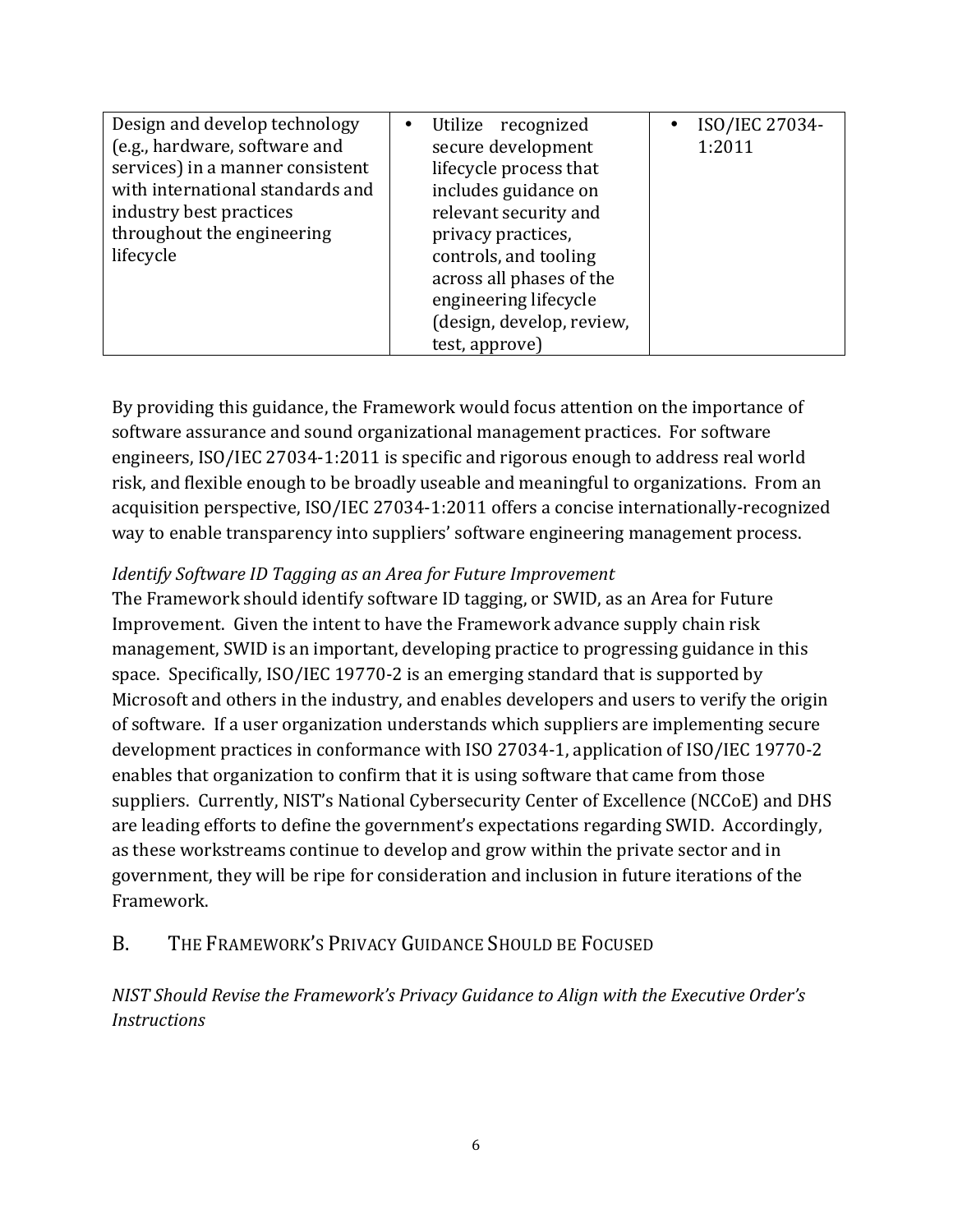| Design and develop technology<br>(e.g., hardware, software and<br>services) in a manner consistent<br>with international standards and<br>industry best practices<br>throughout the engineering<br>lifecycle | Utilize recognized<br>$\bullet$<br>secure development<br>lifecycle process that<br>includes guidance on<br>relevant security and<br>privacy practices,<br>controls, and tooling<br>across all phases of the<br>engineering lifecycle<br>(design, develop, review,<br>test, approve) | ISO/IEC 27034-<br>$\bullet$<br>1:2011 |
|--------------------------------------------------------------------------------------------------------------------------------------------------------------------------------------------------------------|-------------------------------------------------------------------------------------------------------------------------------------------------------------------------------------------------------------------------------------------------------------------------------------|---------------------------------------|
|--------------------------------------------------------------------------------------------------------------------------------------------------------------------------------------------------------------|-------------------------------------------------------------------------------------------------------------------------------------------------------------------------------------------------------------------------------------------------------------------------------------|---------------------------------------|

By providing this guidance, the Framework would focus attention on the importance of software assurance and sound organizational management practices. For software engineers, ISO/IEC 27034-1:2011 is specific and rigorous enough to address real world risk, and flexible enough to be broadly useable and meaningful to organizations. From an acquisition perspective, ISO/IEC 27034-1:2011 offers a concise internationally-recognized way to enable transparency into suppliers' software engineering management process.

#### *Identify Software ID Tagging as an Area for Future Improvement*

The Framework should identify software ID tagging, or SWID, as an Area for Future Improvement. Given the intent to have the Framework advance supply chain risk management, SWID is an important, developing practice to progressing guidance in this space. Specifically, ISO/IEC 19770-2 is an emerging standard that is supported by Microsoft and others in the industry, and enables developers and users to verify the origin of software. If a user organization understands which suppliers are implementing secure development practices in conformance with ISO 27034-1, application of ISO/IEC 19770-2 enables that organization to confirm that it is using software that came from those suppliers. Currently, NIST's National Cybersecurity Center of Excellence (NCCoE) and DHS are leading efforts to define the government's expectations regarding SWID. Accordingly, as these workstreams continue to develop and grow within the private sector and in government, they will be ripe for consideration and inclusion in future iterations of the Framework.

## B. THE FRAMEWORK'S PRIVACY GUIDANCE SHOULD BE FOCUSED

*NIST Should Revise the Framework's Privacy Guidance to Align with the Executive Order's Instructions*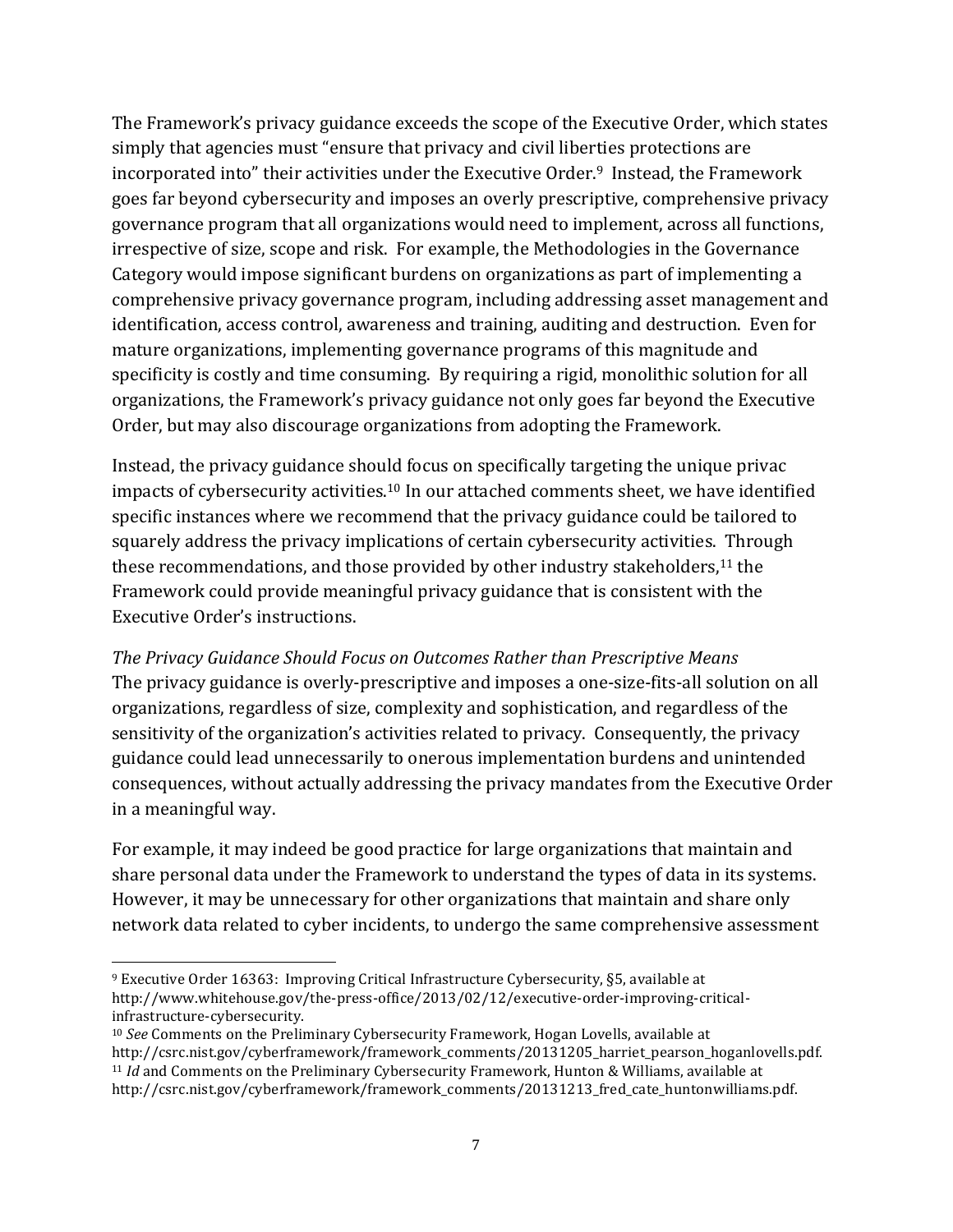The Framework's privacy guidance exceeds the scope of the Executive Order, which states simply that agencies must "ensure that privacy and civil liberties protections are incorporated into" their activities under the Executive Order.<sup>9</sup> Instead, the Framework goes far beyond cybersecurity and imposes an overly prescriptive, comprehensive privacy governance program that all organizations would need to implement, across all functions, irrespective of size, scope and risk. For example, the Methodologies in the Governance Category would impose significant burdens on organizations as part of implementing a comprehensive privacy governance program, including addressing asset management and identification, access control, awareness and training, auditing and destruction. Even for mature organizations, implementing governance programs of this magnitude and specificity is costly and time consuming. By requiring a rigid, monolithic solution for all organizations, the Framework's privacy guidance not only goes far beyond the Executive Order, but may also discourage organizations from adopting the Framework.

Instead, the privacy guidance should focus on specifically targeting the unique privac impacts of cybersecurity activities.10 In our attached comments sheet, we have identified specific instances where we recommend that the privacy guidance could be tailored to squarely address the privacy implications of certain cybersecurity activities. Through these recommendations, and those provided by other industry stakeholders,<sup>11</sup> the Framework could provide meaningful privacy guidance that is consistent with the Executive Order's instructions.

The Privacy Guidance Should Focus on Outcomes Rather than Prescriptive Means The privacy guidance is overly-prescriptive and imposes a one-size-fits-all solution on all organizations, regardless of size, complexity and sophistication, and regardless of the sensitivity of the organization's activities related to privacy. Consequently, the privacy guidance could lead unnecessarily to onerous implementation burdens and unintended consequences, without actually addressing the privacy mandates from the Executive Order in a meaningful way.

For example, it may indeed be good practice for large organizations that maintain and share personal data under the Framework to understand the types of data in its systems. However, it may be unnecessary for other organizations that maintain and share only network data related to cyber incidents, to undergo the same comprehensive assessment

<sup>9</sup> Executive Order 16363: Improving Critical Infrastructure Cybersecurity, §5, available at http://www.whitehouse.gov/the-press-office/2013/02/12/executive-order-improving-criticalinfrastructure-cybersecurity.

<sup>10</sup> *See* Comments on the Preliminary Cybersecurity Framework, Hogan Lovells, available at http://csrc.nist.gov/cyberframework/framework\_comments/20131205\_harriet\_pearson\_hoganlovells.pdf. <sup>11</sup> *Id* and Comments on the Preliminary Cybersecurity Framework, Hunton & Williams, available at http://csrc.nist.gov/cyberframework/framework\_comments/20131213\_fred\_cate\_huntonwilliams.pdf.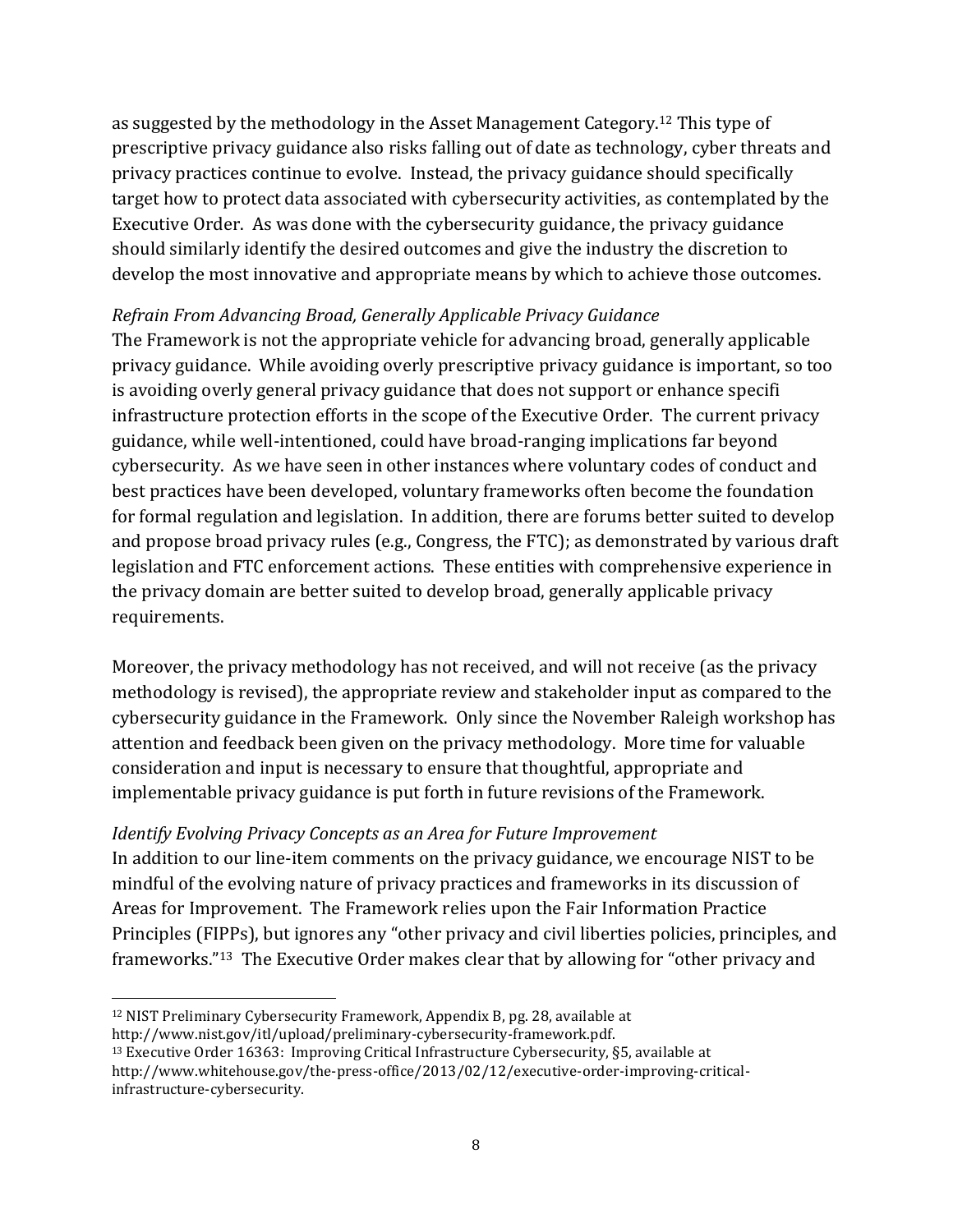as suggested by the methodology in the Asset Management Category.<sup>12</sup> This type of prescriptive privacy guidance also risks falling out of date as technology, cyber threats and privacy practices continue to evolve. Instead, the privacy guidance should specifically target how to protect data associated with cybersecurity activities, as contemplated by the Executive Order. As was done with the cybersecurity guidance, the privacy guidance should similarly identify the desired outcomes and give the industry the discretion to develop the most innovative and appropriate means by which to achieve those outcomes.

#### *Refrain From Advancing Broad, Generally Applicable Privacy Guidance*

The Framework is not the appropriate vehicle for advancing broad, generally applicable privacy guidance. While avoiding overly prescriptive privacy guidance is important, so too is avoiding overly general privacy guidance that does not support or enhance specifi infrastructure protection efforts in the scope of the Executive Order. The current privacy guidance, while well-intentioned, could have broad-ranging implications far beyond cybersecurity. As we have seen in other instances where voluntary codes of conduct and best practices have been developed, voluntary frameworks often become the foundation for formal regulation and legislation. In addition, there are forums better suited to develop and propose broad privacy rules (e.g., Congress, the FTC); as demonstrated by various draft legislation and FTC enforcement actions. These entities with comprehensive experience in the privacy domain are better suited to develop broad, generally applicable privacy requirements.

Moreover, the privacy methodology has not received, and will not receive (as the privacy methodology is revised), the appropriate review and stakeholder input as compared to the cybersecurity guidance in the Framework. Only since the November Raleigh workshop has attention and feedback been given on the privacy methodology. More time for valuable consideration and input is necessary to ensure that thoughtful, appropriate and implementable privacy guidance is put forth in future revisions of the Framework.

#### *Identify Evolving Privacy Concepts as an Area for Future Improvement*

In addition to our line-item comments on the privacy guidance, we encourage NIST to be mindful of the evolving nature of privacy practices and frameworks in its discussion of Areas for Improvement. The Framework relies upon the Fair Information Practice Principles (FIPPs), but ignores any "other privacy and civil liberties policies, principles, and frameworks."<sup>13</sup> The Executive Order makes clear that by allowing for "other privacy and

<sup>12</sup> NIST Preliminary Cybersecurity Framework, Appendix B, pg. 28, available at http://www.nist.gov/itl/upload/preliminary-cybersecurity-framework.pdf.

<sup>13</sup> Executive Order 16363: Improving Critical Infrastructure Cybersecurity, §5, available at http://www.whitehouse.gov/the-press-office/2013/02/12/executive-order-improving-criticalinfrastructure-cybersecurity.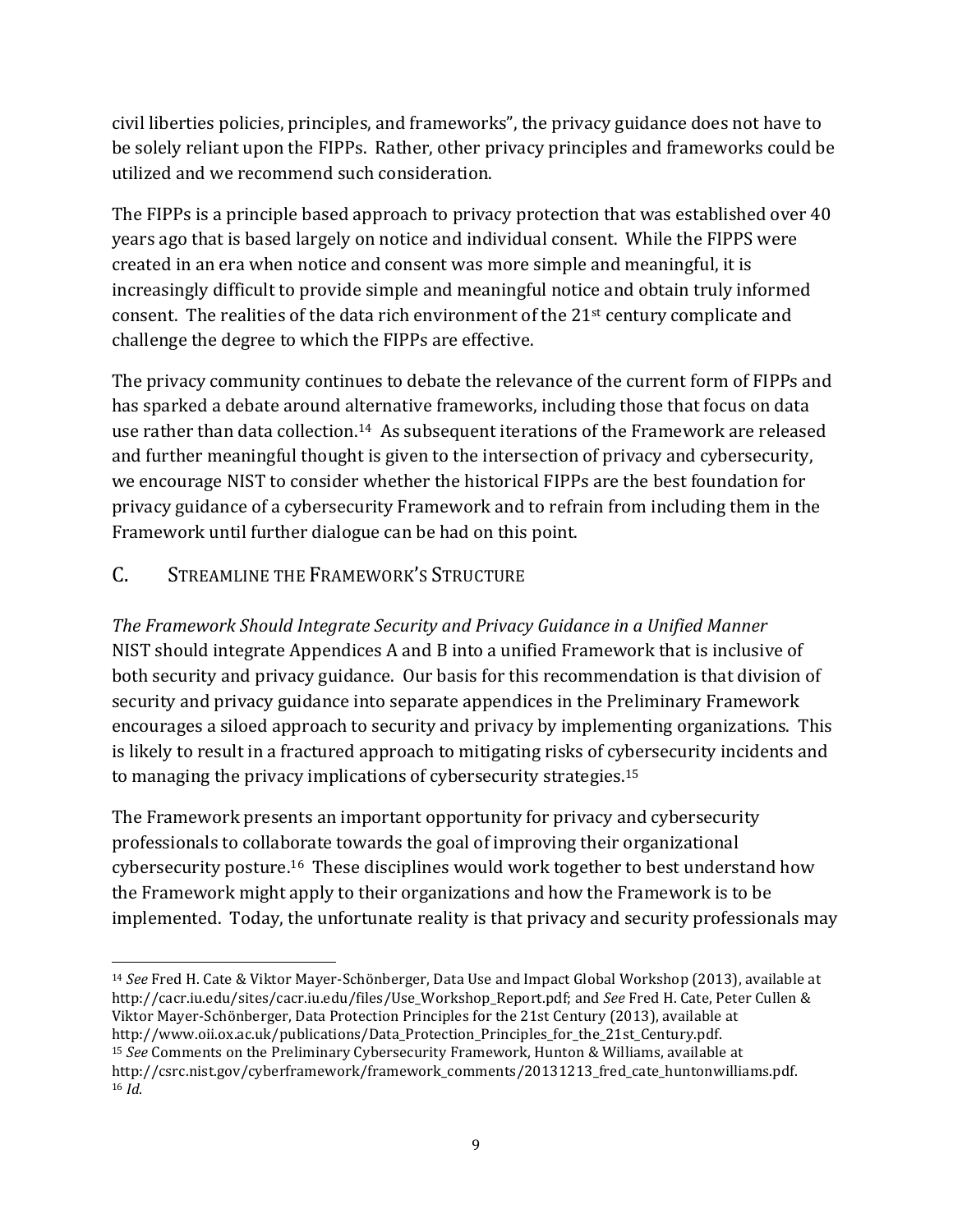civil liberties policies, principles, and frameworks", the privacy guidance does not have to be solely reliant upon the FIPPs. Rather, other privacy principles and frameworks could be utilized and we recommend such consideration.

The FIPPs is a principle based approach to privacy protection that was established over  $40$ years ago that is based largely on notice and individual consent. While the FIPPS were created in an era when notice and consent was more simple and meaningful, it is increasingly difficult to provide simple and meaningful notice and obtain truly informed consent. The realities of the data rich environment of the 21<sup>st</sup> century complicate and challenge the degree to which the FIPPs are effective.

The privacy community continues to debate the relevance of the current form of FIPPs and has sparked a debate around alternative frameworks, including those that focus on data use rather than data collection.<sup>14</sup> As subsequent iterations of the Framework are released and further meaningful thought is given to the intersection of privacy and cybersecurity, we encourage NIST to consider whether the historical FIPPs are the best foundation for privacy guidance of a cybersecurity Framework and to refrain from including them in the Framework until further dialogue can be had on this point.

## C. STREAMLINE THE FRAMEWORK'S STRUCTURE

*The Framework Should Integrate Security and Privacy Guidance in a Unified Manner* NIST should integrate Appendices A and B into a unified Framework that is inclusive of both security and privacy guidance. Our basis for this recommendation is that division of security and privacy guidance into separate appendices in the Preliminary Framework encourages a siloed approach to security and privacy by implementing organizations. This is likely to result in a fractured approach to mitigating risks of cybersecurity incidents and to managing the privacy implications of cybersecurity strategies. 15

The Framework presents an important opportunity for privacy and cybersecurity professionals to collaborate towards the goal of improving their organizational cybersecurity posture.<sup>16</sup> These disciplines would work together to best understand how the Framework might apply to their organizations and how the Framework is to be implemented. Today, the unfortunate reality is that privacy and security professionals may

<sup>&</sup>lt;sup>14</sup> *See* Fred H. Cate & Viktor Mayer-Schönberger, Data Use and Impact Global Workshop (2013), available at http://cacr.iu.edu/sites/cacr.iu.edu/files/Use\_Workshop\_Report.pdf; and *See* Fred H. Cate, Peter Cullen & Viktor Mayer-Schönberger, Data Protection Principles for the 21st Century (2013), available at http://www.oii.ox.ac.uk/publications/Data\_Protection\_Principles\_for\_the\_21st\_Century.pdf. <sup>15</sup> *See* Comments on the Preliminary Cybersecurity Framework, Hunton & Williams, available at http://csrc.nist.gov/cyberframework/framework\_comments/20131213\_fred\_cate\_huntonwilliams.pdf. <sup>16</sup> *Id*.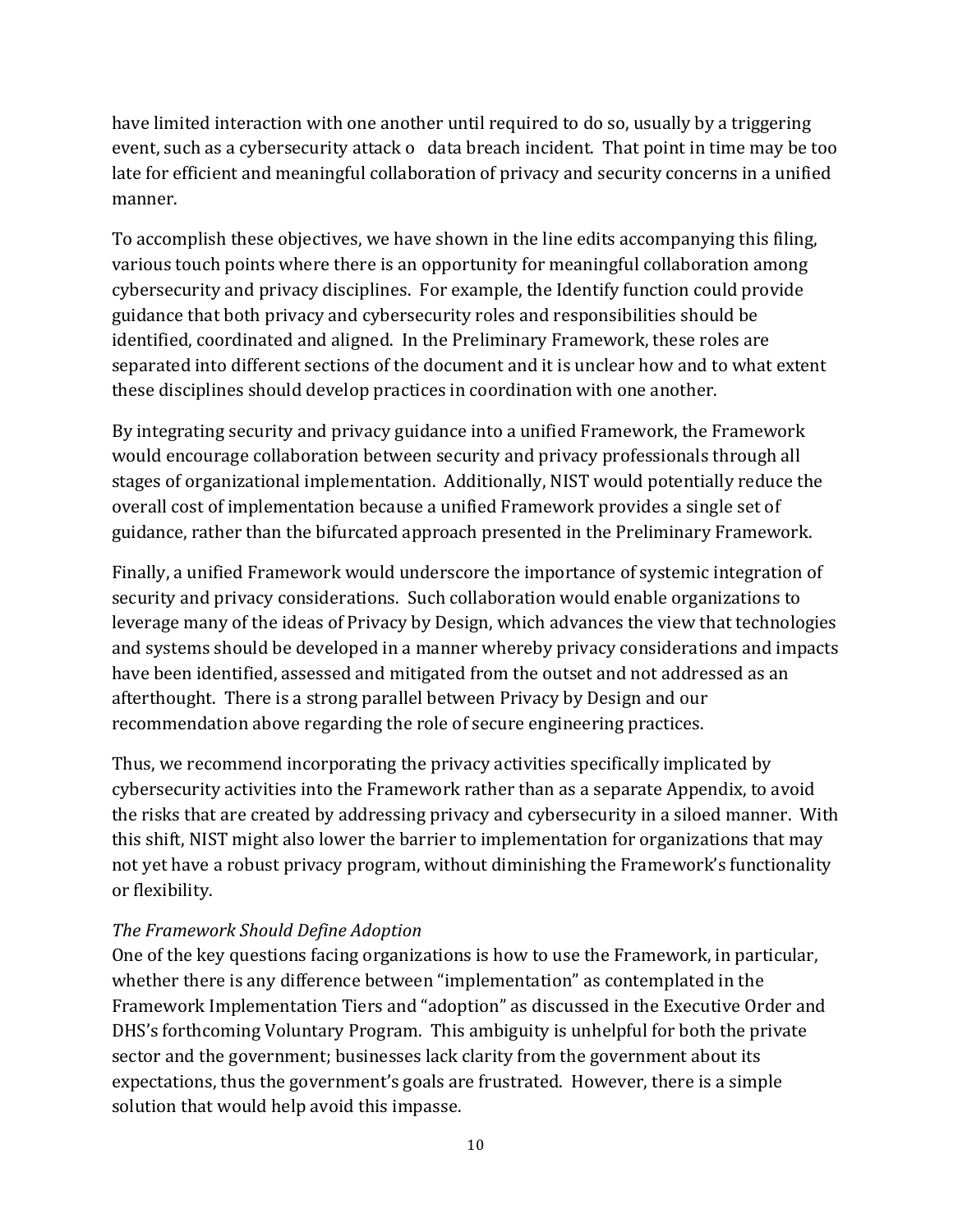have limited interaction with one another until required to do so, usually by a triggering event, such as a cybersecurity attack o data breach incident. That point in time may be too late for efficient and meaningful collaboration of privacy and security concerns in a unified manner.

To accomplish these objectives, we have shown in the line edits accompanying this filing, various touch points where there is an opportunity for meaningful collaboration among cybersecurity and privacy disciplines. For example, the Identify function could provide guidance that both privacy and cybersecurity roles and responsibilities should be identified, coordinated and aligned. In the Preliminary Framework, these roles are separated into different sections of the document and it is unclear how and to what extent these disciplines should develop practices in coordination with one another.

By integrating security and privacy guidance into a unified Framework, the Framework would encourage collaboration between security and privacy professionals through all stages of organizational implementation. Additionally, NIST would potentially reduce the overall cost of implementation because a unified Framework provides a single set of guidance, rather than the bifurcated approach presented in the Preliminary Framework.

Finally, a unified Framework would underscore the importance of systemic integration of security and privacy considerations. Such collaboration would enable organizations to leverage many of the ideas of Privacy by Design, which advances the view that technologies and systems should be developed in a manner whereby privacy considerations and impacts have been identified, assessed and mitigated from the outset and not addressed as an afterthought. There is a strong parallel between Privacy by Design and our recommendation above regarding the role of secure engineering practices.

Thus, we recommend incorporating the privacy activities specifically implicated by cybersecurity activities into the Framework rather than as a separate Appendix, to avoid the risks that are created by addressing privacy and cybersecurity in a siloed manner. With this shift, NIST might also lower the barrier to implementation for organizations that may not yet have a robust privacy program, without diminishing the Framework's functionality or flexibility. 

#### *The Framework Should Define Adoption*

One of the key questions facing organizations is how to use the Framework, in particular, whether there is any difference between "implementation" as contemplated in the Framework Implementation Tiers and "adoption" as discussed in the Executive Order and DHS's forthcoming Voluntary Program. This ambiguity is unhelpful for both the private sector and the government; businesses lack clarity from the government about its expectations, thus the government's goals are frustrated. However, there is a simple solution that would help avoid this impasse.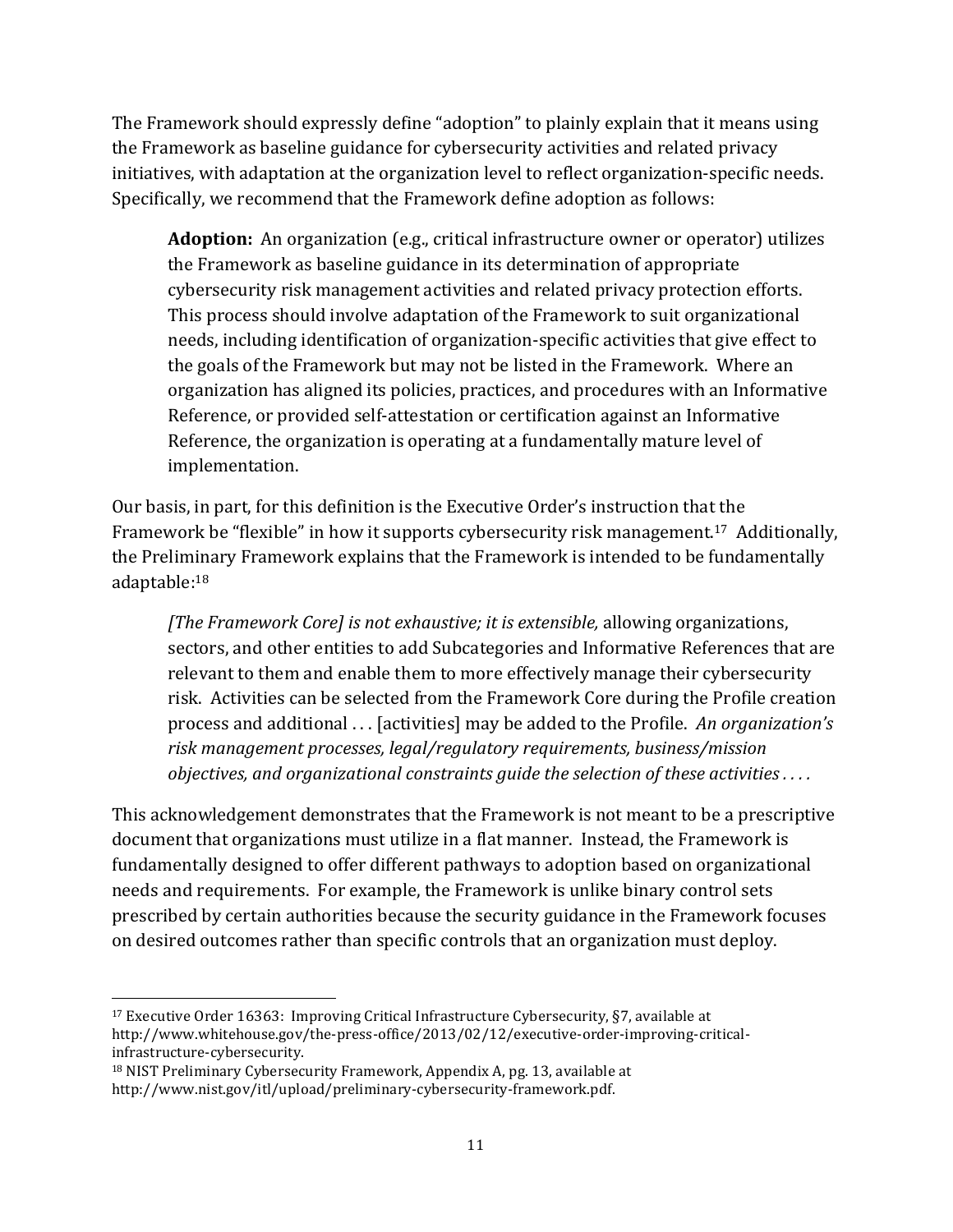The Framework should expressly define "adoption" to plainly explain that it means using the Framework as baseline guidance for cybersecurity activities and related privacy initiatives, with adaptation at the organization level to reflect organization-specific needs. Specifically, we recommend that the Framework define adoption as follows:

**Adoption:** An organization (e.g., critical infrastructure owner or operator) utilizes the Framework as baseline guidance in its determination of appropriate cybersecurity risk management activities and related privacy protection efforts. This process should involve adaptation of the Framework to suit organizational needs, including identification of organization-specific activities that give effect to the goals of the Framework but may not be listed in the Framework. Where an organization has aligned its policies, practices, and procedures with an Informative Reference, or provided self-attestation or certification against an Informative Reference, the organization is operating at a fundamentally mature level of implementation.

Our basis, in part, for this definition is the Executive Order's instruction that the Framework be "flexible" in how it supports cybersecurity risk management.<sup>17</sup> Additionally, the Preliminary Framework explains that the Framework is intended to be fundamentally adaptable:18

*[The Framework Core] is not exhaustive; it is extensible, allowing organizations,* sectors, and other entities to add Subcategories and Informative References that are relevant to them and enable them to more effectively manage their cybersecurity risk. Activities can be selected from the Framework Core during the Profile creation process and additional . . . [activities] may be added to the Profile. *An organization's risk management processes, legal/regulatory requirements, business/mission objectives, and organizational constraints guide the selection of these activities ....* 

This acknowledgement demonstrates that the Framework is not meant to be a prescriptive document that organizations must utilize in a flat manner. Instead, the Framework is fundamentally designed to offer different pathways to adoption based on organizational needs and requirements. For example, the Framework is unlike binary control sets prescribed by certain authorities because the security guidance in the Framework focuses on desired outcomes rather than specific controls that an organization must deploy. 

<sup>&</sup>lt;sup>17</sup> Executive Order 16363: Improving Critical Infrastructure Cybersecurity, §7, available at http://www.whitehouse.gov/the-press-office/2013/02/12/executive-order-improving-criticalinfrastructure-cybersecurity.

<sup>18</sup> NIST Preliminary Cybersecurity Framework, Appendix A, pg. 13, available at http://www.nist.gov/itl/upload/preliminary-cybersecurity-framework.pdf.